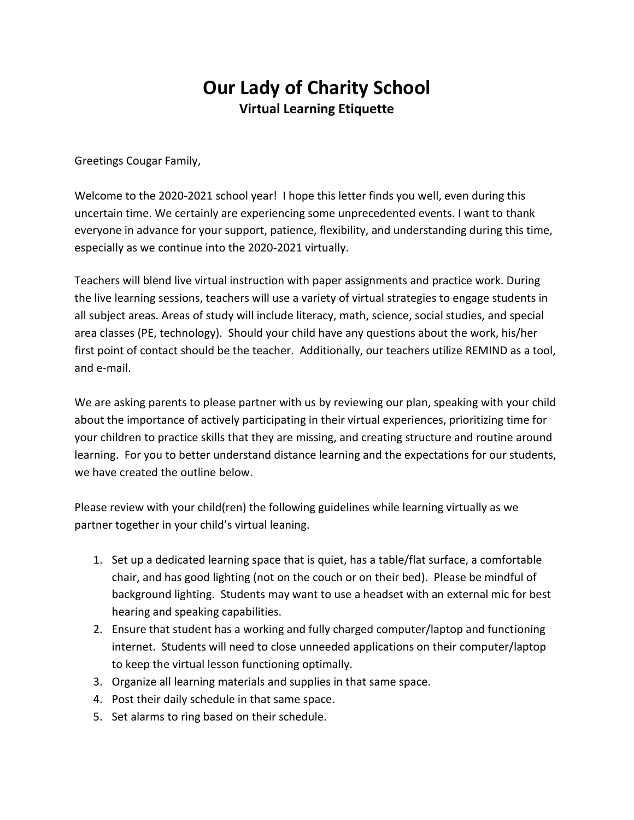## **Our Lady of Charity School Virtual Learning Etiquette**

Greetings Cougar Family,

Welcome to the 2020-2021 school year! I hope this letter finds you well, even during this uncertain time. We certainly are experiencing some unprecedented events. I want to thank everyone in advance for your support, patience, flexibility, and understanding during this time, especially as we continue into the 2020-2021 virtually.

Teachers will blend live virtual instruction with paper assignments and practice work. During the live learning sessions, teachers will use a variety of virtual strategies to engage students in all subject areas. Areas of study will include literacy, math, science, social studies, and special area classes (PE, technology). Should your child have any questions about the work, his/her first point of contact should be the teacher. Additionally, our teachers utilize REMIND as a tool, and e-mail.

We are asking parents to please partner with us by reviewing our plan, speaking with your child about the importance of actively participating in their virtual experiences, prioritizing time for your children to practice skills that they are missing, and creating structure and routine around learning. For you to better understand distance learning and the expectations for our students, we have created the outline below.

Please review with your child(ren) the following guidelines while learning virtually as we partner together in your child's virtual leaning.

- 1. Set up a dedicated learning space that is quiet, has a table/flat surface, a comfortable chair, and has good lighting (not on the couch or on their bed). Please be mindful of background lighting. Students may want to use a headset with an external mic for best hearing and speaking capabilities.
- 2. Ensure that student has a working and fully charged computer/laptop and functioning internet. Students will need to close unneeded applications on their computer/laptop to keep the virtual lesson functioning optimally.
- 3. Organize all learning materials and supplies in that same space.
- 4. Post their daily schedule in that same space.
- 5. Set alarms to ring based on their schedule.